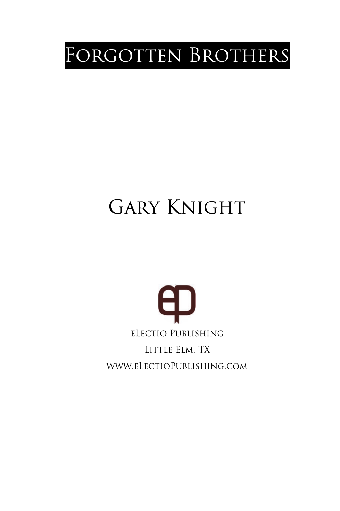## FORGOTTEN BROTHERS

# Gary Knight Change

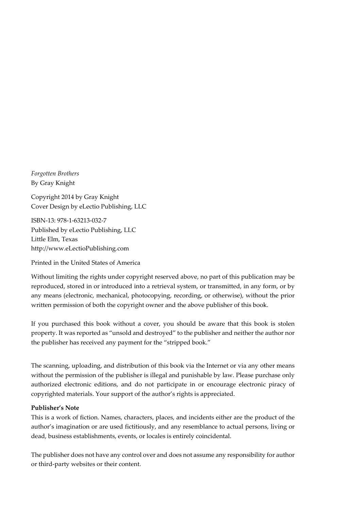*Forgotten Brothers*  By Gray Knight

Copyright 2014 by Gray Knight Cover Design by eLectio Publishing, LLC

ISBN-13: 978-1-63213-032-7 Published by eLectio Publishing, LLC Little Elm, Texas http://www.eLectioPublishing.com

Printed in the United States of America

Without limiting the rights under copyright reserved above, no part of this publication may be reproduced, stored in or introduced into a retrieval system, or transmitted, in any form, or by any means (electronic, mechanical, photocopying, recording, or otherwise), without the prior written permission of both the copyright owner and the above publisher of this book.

If you purchased this book without a cover, you should be aware that this book is stolen property. It was reported as "unsold and destroyed" to the publisher and neither the author nor the publisher has received any payment for the "stripped book."

The scanning, uploading, and distribution of this book via the Internet or via any other means without the permission of the publisher is illegal and punishable by law. Please purchase only authorized electronic editions, and do not participate in or encourage electronic piracy of copyrighted materials. Your support of the author's rights is appreciated.

#### **Publisher's Note**

This is a work of fiction. Names, characters, places, and incidents either are the product of the author's imagination or are used fictitiously, and any resemblance to actual persons, living or dead, business establishments, events, or locales is entirely coincidental.

The publisher does not have any control over and does not assume any responsibility for author or third-party websites or their content.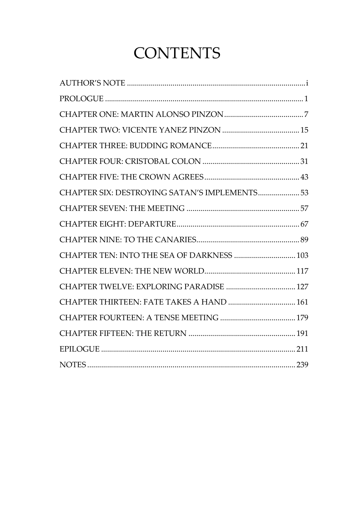### **CONTENTS**

| CHAPTER SIX: DESTROYING SATAN'S IMPLEMENTS 53 |  |
|-----------------------------------------------|--|
|                                               |  |
|                                               |  |
|                                               |  |
| CHAPTER TEN: INTO THE SEA OF DARKNESS  103    |  |
|                                               |  |
| CHAPTER TWELVE: EXPLORING PARADISE  127       |  |
| CHAPTER THIRTEEN: FATE TAKES A HAND  161      |  |
|                                               |  |
|                                               |  |
|                                               |  |
|                                               |  |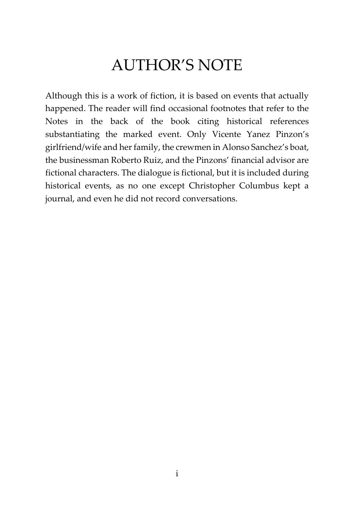#### AUTHOR'S NOTE

Although this is a work of fiction, it is based on events that actually happened. The reader will find occasional footnotes that refer to the Notes in the back of the book citing historical references substantiating the marked event. Only Vicente Yanez Pinzon's girlfriend/wife and her family, the crewmen in Alonso Sanchez's boat, the businessman Roberto Ruiz, and the Pinzons' financial advisor are fictional characters. The dialogue is fictional, but it is included during historical events, as no one except Christopher Columbus kept a journal, and even he did not record conversations.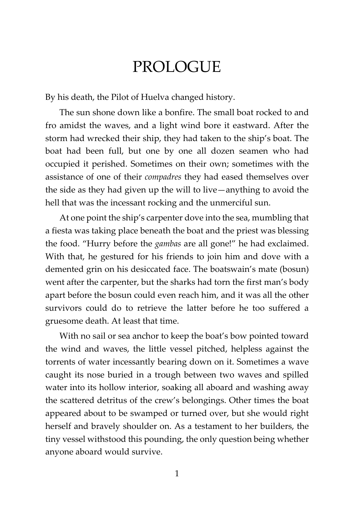#### PROLOGUE

By his death, the Pilot of Huelva changed history.

The sun shone down like a bonfire. The small boat rocked to and fro amidst the waves, and a light wind bore it eastward. After the storm had wrecked their ship, they had taken to the ship's boat. The boat had been full, but one by one all dozen seamen who had occupied it perished. Sometimes on their own; sometimes with the assistance of one of their *compadres* they had eased themselves over the side as they had given up the will to live—anything to avoid the hell that was the incessant rocking and the unmerciful sun.

At one point the ship's carpenter dove into the sea, mumbling that a fiesta was taking place beneath the boat and the priest was blessing the food. "Hurry before the *gambas* are all gone!" he had exclaimed. With that, he gestured for his friends to join him and dove with a demented grin on his desiccated face. The boatswain's mate (bosun) went after the carpenter, but the sharks had torn the first man's body apart before the bosun could even reach him, and it was all the other survivors could do to retrieve the latter before he too suffered a gruesome death. At least that time.

With no sail or sea anchor to keep the boat's bow pointed toward the wind and waves, the little vessel pitched, helpless against the torrents of water incessantly bearing down on it. Sometimes a wave caught its nose buried in a trough between two waves and spilled water into its hollow interior, soaking all aboard and washing away the scattered detritus of the crew's belongings. Other times the boat appeared about to be swamped or turned over, but she would right herself and bravely shoulder on. As a testament to her builders, the tiny vessel withstood this pounding, the only question being whether anyone aboard would survive.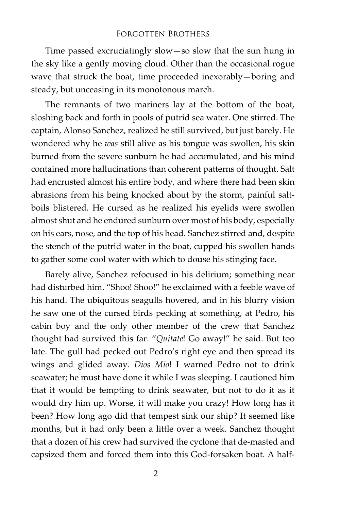Time passed excruciatingly slow—so slow that the sun hung in the sky like a gently moving cloud. Other than the occasional rogue wave that struck the boat, time proceeded inexorably—boring and steady, but unceasing in its monotonous march.

The remnants of two mariners lay at the bottom of the boat, sloshing back and forth in pools of putrid sea water. One stirred. The captain, Alonso Sanchez, realized he still survived, but just barely. He wondered why he *was* still alive as his tongue was swollen, his skin burned from the severe sunburn he had accumulated, and his mind contained more hallucinations than coherent patterns of thought. Salt had encrusted almost his entire body, and where there had been skin abrasions from his being knocked about by the storm, painful saltboils blistered. He cursed as he realized his eyelids were swollen almost shut and he endured sunburn over most of his body, especially on his ears, nose, and the top of his head. Sanchez stirred and, despite the stench of the putrid water in the boat, cupped his swollen hands to gather some cool water with which to douse his stinging face.

Barely alive, Sanchez refocused in his delirium; something near had disturbed him. "Shoo! Shoo!" he exclaimed with a feeble wave of his hand. The ubiquitous seagulls hovered, and in his blurry vision he saw one of the cursed birds pecking at something, at Pedro, his cabin boy and the only other member of the crew that Sanchez thought had survived this far. "*Quitate*! Go away!" he said. But too late. The gull had pecked out Pedro's right eye and then spread its wings and glided away. *Dios Mio*! I warned Pedro not to drink seawater; he must have done it while I was sleeping. I cautioned him that it would be tempting to drink seawater, but not to do it as it would dry him up. Worse, it will make you crazy! How long has it been? How long ago did that tempest sink our ship? It seemed like months, but it had only been a little over a week. Sanchez thought that a dozen of his crew had survived the cyclone that de-masted and capsized them and forced them into this God-forsaken boat. A half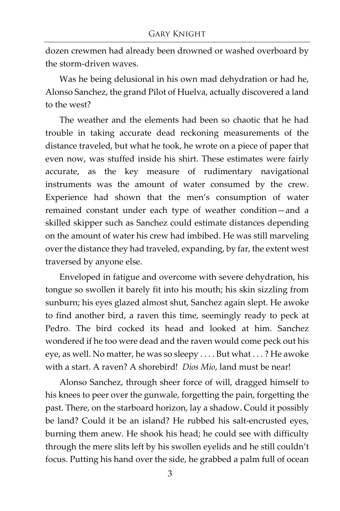dozen crewmen had already been drowned or washed overboard by the storm-driven waves.

Was he being delusional in his own mad dehydration or had he, Alonso Sanchez, the grand Pilot of Huelva, actually discovered a land to the west?

The weather and the elements had been so chaotic that he had trouble in taking accurate dead reckoning measurements of the distance traveled, but what he took, he wrote on a piece of paper that even now, was stuffed inside his shirt. These estimates were fairly accurate, as the key measure of rudimentary navigational instruments was the amount of water consumed by the crew. Experience had shown that the men's consumption of water remained constant under each type of weather condition—and a skilled skipper such as Sanchez could estimate distances depending on the amount of water his crew had imbibed. He was still marveling over the distance they had traveled, expanding, by far, the extent west traversed by anyone else.

Enveloped in fatigue and overcome with severe dehydration, his tongue so swollen it barely fit into his mouth; his skin sizzling from sunburn; his eyes glazed almost shut, Sanchez again slept. He awoke to find another bird, a raven this time, seemingly ready to peck at Pedro. The bird cocked its head and looked at him. Sanchez wondered if he too were dead and the raven would come peck out his eye, as well. No matter, he was so sleepy . . . . But what . . . ? He awoke with a start. A raven? A shorebird! *Dios Mio*, land must be near!

Alonso Sanchez, through sheer force of will, dragged himself to his knees to peer over the gunwale, forgetting the pain, forgetting the past. There, on the starboard horizon, lay a shadow. Could it possibly be land? Could it be an island? He rubbed his salt-encrusted eyes, burning them anew. He shook his head; he could see with difficulty through the mere slits left by his swollen eyelids and he still couldn't focus. Putting his hand over the side, he grabbed a palm full of ocean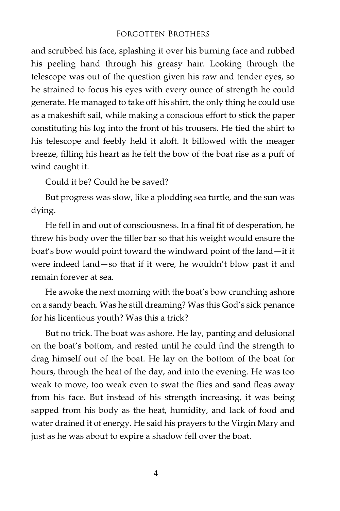and scrubbed his face, splashing it over his burning face and rubbed his peeling hand through his greasy hair. Looking through the telescope was out of the question given his raw and tender eyes, so he strained to focus his eyes with every ounce of strength he could generate. He managed to take off his shirt, the only thing he could use as a makeshift sail, while making a conscious effort to stick the paper constituting his log into the front of his trousers. He tied the shirt to his telescope and feebly held it aloft. It billowed with the meager breeze, filling his heart as he felt the bow of the boat rise as a puff of wind caught it.

Could it be? Could he be saved?

But progress was slow, like a plodding sea turtle, and the sun was dying.

He fell in and out of consciousness. In a final fit of desperation, he threw his body over the tiller bar so that his weight would ensure the boat's bow would point toward the windward point of the land—if it were indeed land—so that if it were, he wouldn't blow past it and remain forever at sea.

He awoke the next morning with the boat's bow crunching ashore on a sandy beach. Was he still dreaming? Was this God's sick penance for his licentious youth? Was this a trick?

But no trick. The boat was ashore. He lay, panting and delusional on the boat's bottom, and rested until he could find the strength to drag himself out of the boat. He lay on the bottom of the boat for hours, through the heat of the day, and into the evening. He was too weak to move, too weak even to swat the flies and sand fleas away from his face. But instead of his strength increasing, it was being sapped from his body as the heat, humidity, and lack of food and water drained it of energy. He said his prayers to the Virgin Mary and just as he was about to expire a shadow fell over the boat.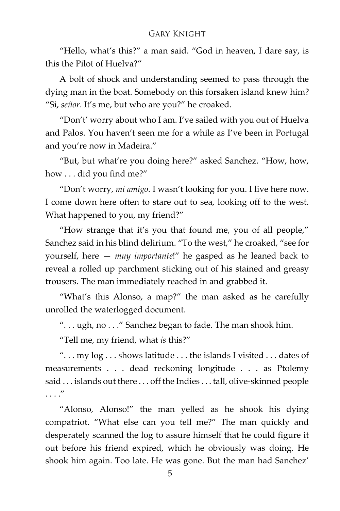"Hello, what's this?" a man said. "God in heaven, I dare say, is this the Pilot of Huelva?"

A bolt of shock and understanding seemed to pass through the dying man in the boat. Somebody on this forsaken island knew him? "Si, *señor*. It's me, but who are you?" he croaked.

"Don't' worry about who I am. I've sailed with you out of Huelva and Palos. You haven't seen me for a while as I've been in Portugal and you're now in Madeira."

"But, but what're you doing here?" asked Sanchez. "How, how, how . . . did you find me?"

"Don't worry, *mi amigo*. I wasn't looking for you. I live here now. I come down here often to stare out to sea, looking off to the west. What happened to you, my friend?"

"How strange that it's you that found me, you of all people," Sanchez said in his blind delirium. "To the west," he croaked, "see for yourself, here — *muy importante*!" he gasped as he leaned back to reveal a rolled up parchment sticking out of his stained and greasy trousers. The man immediately reached in and grabbed it.

"What's this Alonso, a map?" the man asked as he carefully unrolled the waterlogged document.

". . . ugh, no . . ." Sanchez began to fade. The man shook him.

"Tell me, my friend, what *is* this?"

". . . my log . . . shows latitude . . . the islands I visited . . . dates of measurements . . . dead reckoning longitude . . . as Ptolemy said . . . islands out there . . . off the Indies . . . tall, olive-skinned people . . . ."

"Alonso, Alonso!" the man yelled as he shook his dying compatriot. "What else can you tell me?" The man quickly and desperately scanned the log to assure himself that he could figure it out before his friend expired, which he obviously was doing. He shook him again. Too late. He was gone. But the man had Sanchez'